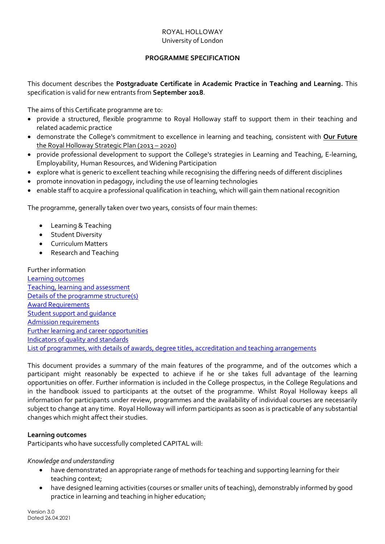## ROYAL HOLLOWAY University of London

## **PROGRAMME SPECIFICATION**

<span id="page-0-1"></span>This document describes the **Postgraduate Certificate in Academic Practice in Teaching and Learning.** This specification is valid for new entrants from **September 2018**.

The aims of this Certificate programme are to:

- provide a structured, flexible programme to Royal Holloway staff to support them in their teaching and related academic practice
- demonstrate the College's commitment to excellence in learning and teaching, consistent with **[Our Future](https://www.royalholloway.ac.uk/aboutus/ourfuture/home.aspx)** [the Royal Holloway Strategic Plan \(2013](https://www.royalholloway.ac.uk/aboutus/ourfuture/home.aspx) – 2020)
- provide professional development to support the College's strategies in Learning and Teaching, E-learning, Employability, Human Resources, and Widening Participation
- explore what is generic to excellent teaching while recognising the differing needs of different disciplines
- promote innovation in pedagogy, including the use of learning technologies
- enable staff to acquire a professional qualification in teaching, which will gain them national recognition

The programme, generally taken over two years, consists of four main themes:

- Learning & Teaching
- Student Diversity
- Curriculum Matters
- Research and Teaching

Further information [Learning outcomes](#page-0-0) [Teaching, learning and assessment](#page-1-0) [Details of the programme structure\(s\)](#page-1-1) [Award Requirements](#page-2-0) [Student support and guidance](#page-2-1) [Admission requirements](#page-2-2) [Further learning and career opportunities](#page-2-3) [Indicators of quality and standards](#page-2-4) [List of programmes, with details of awards, degree titles, accreditation and teaching arrangements](#page-3-0)

This document provides a summary of the main features of the programme, and of the outcomes which a participant might reasonably be expected to achieve if he or she takes full advantage of the learning opportunities on offer. Further information is included in the College prospectus, in the College Regulations and in the handbook issued to participants at the outset of the programme. Whilst Royal Holloway keeps all information for participants under review, programmes and the availability of individual courses are necessarily subject to change at any time. Royal Holloway will inform participants as soon as is practicable of any substantial changes which might affect their studies.

### <span id="page-0-0"></span>**Learning outcomes**

Participants who have successfully completed CAPITAL will:

### *Knowledge and understanding*

- have demonstrated an appropriate range of methods for teaching and supporting learning for their teaching context;
- have designed learning activities (courses or smaller units of teaching), demonstrably informed by good practice in learning and teaching in higher education;

Version 3.0 Dated 26.04.2021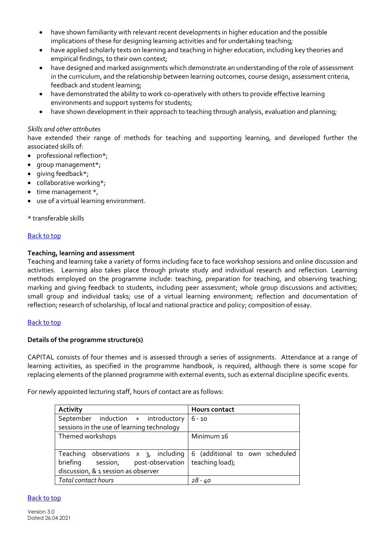- have shown familiarity with relevant recent developments in higher education and the possible implications of these for designing learning activities and for undertaking teaching;
- have applied scholarly texts on learning and teaching in higher education, including key theories and empirical findings, to their own context;
- have designed and marked assignments which demonstrate an understanding of the role of assessment in the curriculum, and the relationship between learning outcomes, course design, assessment criteria, feedback and student learning;
- have demonstrated the ability to work co-operatively with others to provide effective learning environments and support systems for students;
- have shown development in their approach to teaching through analysis, evaluation and planning;

## *Skills and other attributes*

have extended their range of methods for teaching and supporting learning, and developed further the associated skills of:

- professional reflection\*;
- group management\*;
- qiving feedback\*;
- collaborative working\*;
- time management \*,
- use of a virtual learning environment.

\* transferable skills

### [Back to top](#page-0-1)

### <span id="page-1-0"></span>**Teaching, learning and assessment**

Teaching and learning take a variety of forms including face to face workshop sessions and online discussion and activities. Learning also takes place through private study and individual research and reflection. Learning methods employed on the programme include: teaching, preparation for teaching, and observing teaching; marking and giving feedback to students, including peer assessment; whole group discussions and activities; small group and individual tasks; use of a virtual learning environment; reflection and documentation of reflection; research of scholarship, of local and national practice and policy; composition of essay.

### [Back to top](#page-0-1)

### <span id="page-1-1"></span>**Details of the programme structure(s)**

CAPITAL consists of four themes and is assessed through a series of assignments. Attendance at a range of learning activities, as specified in the programme handbook, is required, although there is some scope for replacing elements of the planned programme with external events, such as external discipline specific events.

For newly appointed lecturing staff, hours of contact are as follows:

| Activity                                                                 | <b>Hours contact</b> |
|--------------------------------------------------------------------------|----------------------|
| September induction + introductory                                       | $6 - 10$             |
| sessions in the use of learning technology                               |                      |
| Themed workshops                                                         | Minimum 16           |
|                                                                          |                      |
| Teaching observations $x = 3$ , including 6 (additional to own scheduled |                      |
| briefing session, post-observation   teaching load);                     |                      |
| discussion, & 1 session as observer                                      |                      |
| Total contact hours                                                      | $28 - 40$            |

## [Back to top](#page-0-1)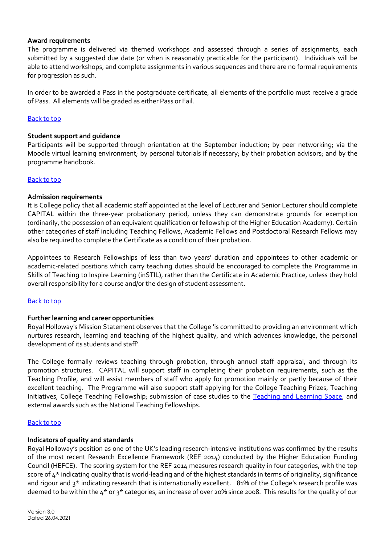### <span id="page-2-0"></span>**Award requirements**

The programme is delivered via themed workshops and assessed through a series of assignments, each submitted by a suggested due date (or when is reasonably practicable for the participant). Individuals will be able to attend workshops, and complete assignments in various sequences and there are no formal requirements for progression as such.

In order to be awarded a Pass in the postgraduate certificate, all elements of the portfolio must receive a grade of Pass. All elements will be graded as either Pass or Fail.

### [Back to top](#page-0-1)

### <span id="page-2-1"></span>**Student support and guidance**

Participants will be supported through orientation at the September induction; by peer networking; via the Moodle virtual learning environment; by personal tutorials if necessary; by their probation advisors; and by the programme handbook.

### [Back to top](#page-0-1)

### <span id="page-2-2"></span>**Admission requirements**

It is College policy that all academic staff appointed at the level of Lecturer and Senior Lecturer should complete CAPITAL within the three-year probationary period, unless they can demonstrate grounds for exemption (ordinarily, the possession of an equivalent qualification or fellowship of the Higher Education Academy). Certain other categories of staff including Teaching Fellows, Academic Fellows and Postdoctoral Research Fellows may also be required to complete the Certificate as a condition of their probation.

Appointees to Research Fellowships of less than two years' duration and appointees to other academic or academic-related positions which carry teaching duties should be encouraged to complete the Programme in Skills of Teaching to Inspire Learning (inSTIL), rather than the Certificate in Academic Practice, unless they hold overall responsibility for a course and/or the design of student assessment.

### [Back to top](#page-0-1)

### <span id="page-2-3"></span>**Further learning and career opportunities**

Royal Holloway's Mission Statement observes that the College 'is committed to providing an environment which nurtures research, learning and teaching of the highest quality, and which advances knowledge, the personal development of its students and staff'.

The College formally reviews teaching through probation, through annual staff appraisal, and through its promotion structures. CAPITAL will support staff in completing their probation requirements, such as the Teaching Profile, and will assist members of staff who apply for promotion mainly or partly because of their excellent teaching. The Programme will also support staff applying for the College Teaching Prizes, Teaching Initiatives, College Teaching Fellowship; submission of case studies to the [Teaching and Learning Space,](https://www.royalholloway.ac.uk/staff/teaching/teaching-learning/teaching-and-learning-space.aspx) and external awards such as the National Teaching Fellowships.

### [Back to top](#page-0-1)

### <span id="page-2-4"></span>**Indicators of quality and standards**

Royal Holloway's position as one of the UK's leading research-intensive institutions was confirmed by the results of the most recent Research Excellence Framework (REF 2014) conducted by the Higher Education Funding Council (HEFCE). The scoring system for the REF 2014 measures research quality in four categories, with the top score of 4\* indicating quality that is world-leading and of the highest standards in terms of originality, significance and rigour and 3<sup>\*</sup> indicating research that is internationally excellent. 81% of the College's research profile was deemed to be within the 4\* or 3\* categories, an increase of over 20% since 2008. This results for the quality of our